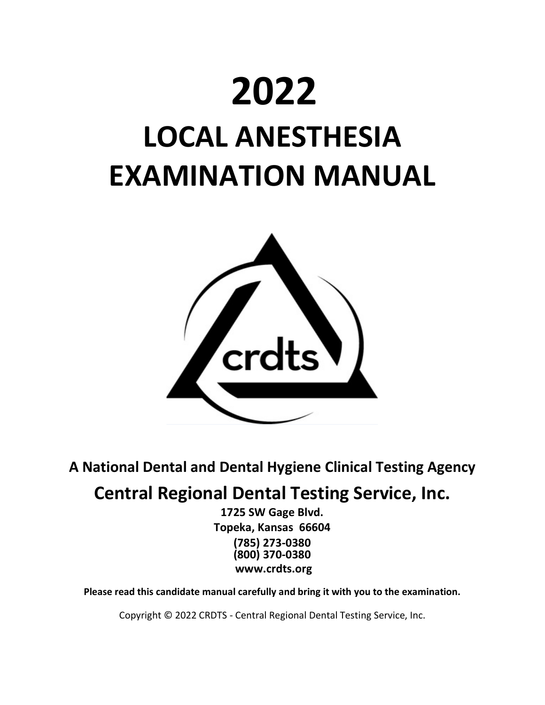# **2022 LOCAL ANESTHESIA EXAMINATION MANUAL**



**A National Dental and Dental Hygiene Clinical Testing Agency**

## **Central Regional Dental Testing Service, Inc.**

**1725 SW Gage Blvd. Topeka, Kansas 66604 (785) 273-0380 (800) 370-0380 www.crdts.org**

**Please read this candidate manual carefully and bring it with you to the examination.**

Copyright © 2022 CRDTS - Central Regional Dental Testing Service, Inc.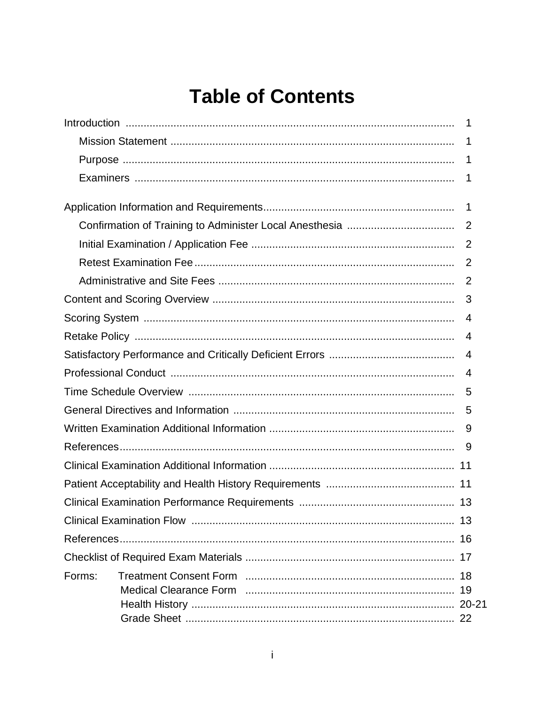## **Table of Contents**

|        | 1  |
|--------|----|
|        | -1 |
|        | -1 |
|        | -1 |
|        |    |
|        |    |
|        |    |
|        |    |
|        |    |
|        | 3  |
|        | 4  |
|        | 4  |
|        | 4  |
|        | 4  |
|        | 5  |
|        |    |
|        | 9  |
|        | -9 |
|        |    |
|        |    |
|        |    |
|        |    |
|        |    |
|        |    |
| Forms: |    |
|        |    |
|        |    |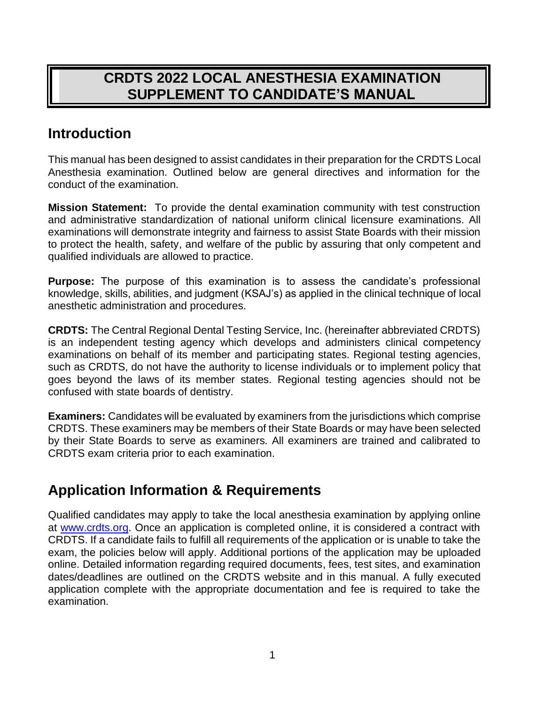## **CRDTS 2022 LOCAL ANESTHESIA EXAMINATION SUPPLEMENT TO CANDIDATE'S MANUAL**

## **Introduction**

This manual has been designed to assist candidates in their preparation for the CRDTS Local Anesthesia examination. Outlined below are general directives and information for the conduct of the examination.

**Mission Statement:** To provide the dental examination community with test construction and administrative standardization of national uniform clinical licensure examinations. All examinations will demonstrate integrity and fairness to assist State Boards with their mission to protect the health, safety, and welfare of the public by assuring that only competent and qualified individuals are allowed to practice.

**Purpose:** The purpose of this examination is to assess the candidate's professional knowledge, skills, abilities, and judgment (KSAJ's) as applied in the clinical technique of local anesthetic administration and procedures.

**CRDTS:** The Central Regional Dental Testing Service, Inc. (hereinafter abbreviated CRDTS) is an independent testing agency which develops and administers clinical competency examinations on behalf of its member and participating states. Regional testing agencies, such as CRDTS, do not have the authority to license individuals or to implement policy that goes beyond the laws of its member states. Regional testing agencies should not be confused with state boards of dentistry.

**Examiners:** Candidates will be evaluated by examiners from the jurisdictions which comprise CRDTS. These examiners may be members of their State Boards or may have been selected by their State Boards to serve as examiners. All examiners are trained and calibrated to CRDTS exam criteria prior to each examination.

## **Application Information & Requirements**

Qualified candidates may apply to take the local anesthesia examination by applying online at [www.crdts.org.](http://www.crdts.org/) Once an application is completed online, it is considered a contract with CRDTS. If a candidate fails to fulfill all requirements of the application or is unable to take the exam, the policies below will apply. Additional portions of the application may be uploaded online. Detailed information regarding required documents, fees, test sites, and examination dates/deadlines are outlined on the CRDTS website and in this manual. A fully executed application complete with the appropriate documentation and fee is required to take the examination.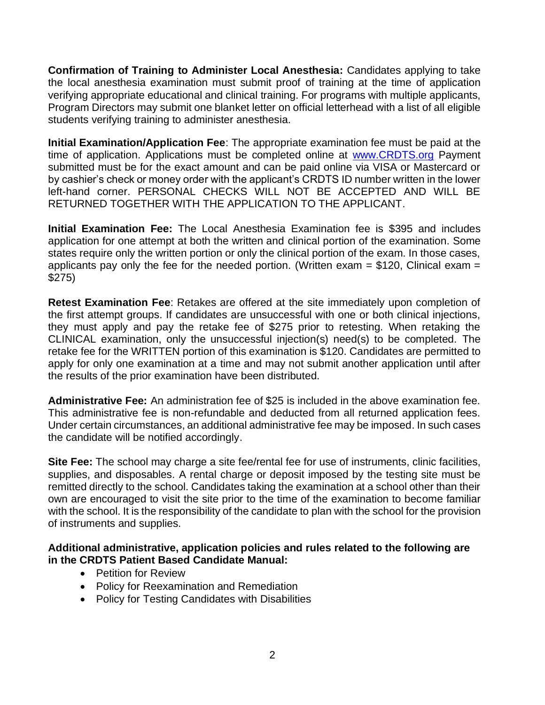**Confirmation of Training to Administer Local Anesthesia:** Candidates applying to take the local anesthesia examination must submit proof of training at the time of application verifying appropriate educational and clinical training. For programs with multiple applicants, Program Directors may submit one blanket letter on official letterhead with a list of all eligible students verifying training to administer anesthesia.

**Initial Examination/Application Fee**: The appropriate examination fee must be paid at the time of application. Applications must be completed online at [www.CRDTS.org](http://www.crdts.org/) Payment submitted must be for the exact amount and can be paid online via VISA or Mastercard or by cashier's check or money order with the applicant's CRDTS ID number written in the lower left-hand corner. PERSONAL CHECKS WILL NOT BE ACCEPTED AND WILL BE RETURNED TOGETHER WITH THE APPLICATION TO THE APPLICANT.

**Initial Examination Fee:** The Local Anesthesia Examination fee is \$395 and includes application for one attempt at both the written and clinical portion of the examination. Some states require only the written portion or only the clinical portion of the exam. In those cases, applicants pay only the fee for the needed portion. (Written exam =  $$120$ , Clinical exam = \$275)

**Retest Examination Fee**: Retakes are offered at the site immediately upon completion of the first attempt groups. If candidates are unsuccessful with one or both clinical injections, they must apply and pay the retake fee of \$275 prior to retesting. When retaking the CLINICAL examination, only the unsuccessful injection(s) need(s) to be completed. The retake fee for the WRITTEN portion of this examination is \$120. Candidates are permitted to apply for only one examination at a time and may not submit another application until after the results of the prior examination have been distributed.

**Administrative Fee:** An administration fee of \$25 is included in the above examination fee. This administrative fee is non-refundable and deducted from all returned application fees. Under certain circumstances, an additional administrative fee may be imposed. In such cases the candidate will be notified accordingly.

**Site Fee:** The school may charge a site fee/rental fee for use of instruments, clinic facilities, supplies, and disposables. A rental charge or deposit imposed by the testing site must be remitted directly to the school. Candidates taking the examination at a school other than their own are encouraged to visit the site prior to the time of the examination to become familiar with the school. It is the responsibility of the candidate to plan with the school for the provision of instruments and supplies.

#### **Additional administrative, application policies and rules related to the following are in the CRDTS Patient Based Candidate Manual:**

- Petition for Review
- Policy for Reexamination and Remediation
- Policy for Testing Candidates with Disabilities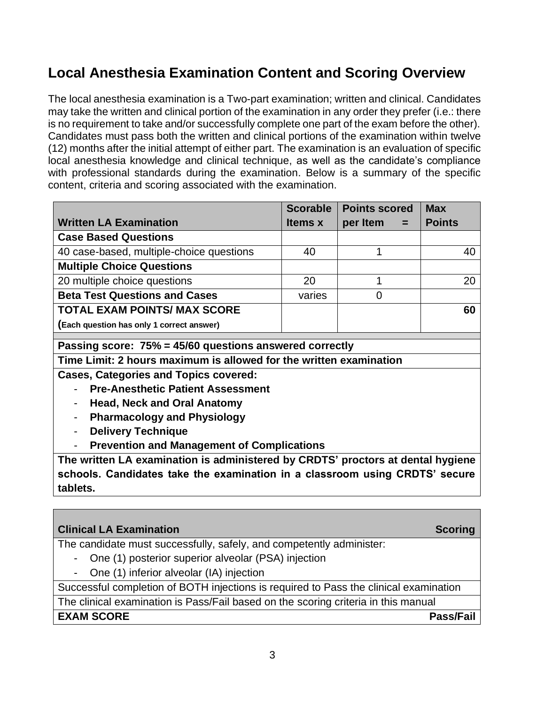## **Local Anesthesia Examination Content and Scoring Overview**

The local anesthesia examination is a Two-part examination; written and clinical. Candidates may take the written and clinical portion of the examination in any order they prefer (i.e.: there is no requirement to take and/or successfully complete one part of the exam before the other). Candidates must pass both the written and clinical portions of the examination within twelve (12) months after the initial attempt of either part. The examination is an evaluation of specific local anesthesia knowledge and clinical technique, as well as the candidate's compliance with professional standards during the examination. Below is a summary of the specific content, criteria and scoring associated with the examination.

|                                           | <b>Scorable</b> | <b>Points scored</b> | <b>Max</b>    |
|-------------------------------------------|-----------------|----------------------|---------------|
| <b>Written LA Examination</b>             | <b>Items x</b>  | per Item $=$         | <b>Points</b> |
| <b>Case Based Questions</b>               |                 |                      |               |
| 40 case-based, multiple-choice questions  | 40              |                      | 40            |
| <b>Multiple Choice Questions</b>          |                 |                      |               |
| 20 multiple choice questions              | 20              |                      | 20            |
| <b>Beta Test Questions and Cases</b>      | varies          |                      |               |
| <b>TOTAL EXAM POINTS/ MAX SCORE</b>       |                 |                      | 60            |
| (Each question has only 1 correct answer) |                 |                      |               |

**Passing score: 75% = 45/60 questions answered correctly**

**Time Limit: 2 hours maximum is allowed for the written examination**

**Cases, Categories and Topics covered:**

- **Pre-Anesthetic Patient Assessment**
- **Head, Neck and Oral Anatomy**
- **Pharmacology and Physiology**
- **Delivery Technique**
- **Prevention and Management of Complications**

**The written LA examination is administered by CRDTS' proctors at dental hygiene schools. Candidates take the examination in a classroom using CRDTS' secure tablets.** 

| <b>Clinical LA Examination</b>                                                        | <b>Scoring</b> |
|---------------------------------------------------------------------------------------|----------------|
| The candidate must successfully, safely, and competently administer:                  |                |
| - One (1) posterior superior alveolar (PSA) injection                                 |                |
| - One (1) inferior alveolar (IA) injection                                            |                |
| Successful completion of BOTH injections is required to Pass the clinical examination |                |
| The clinical examination is Pass/Fail based on the scoring criteria in this manual    |                |
| <b>EXAM SCORE</b>                                                                     | Pass/Fail      |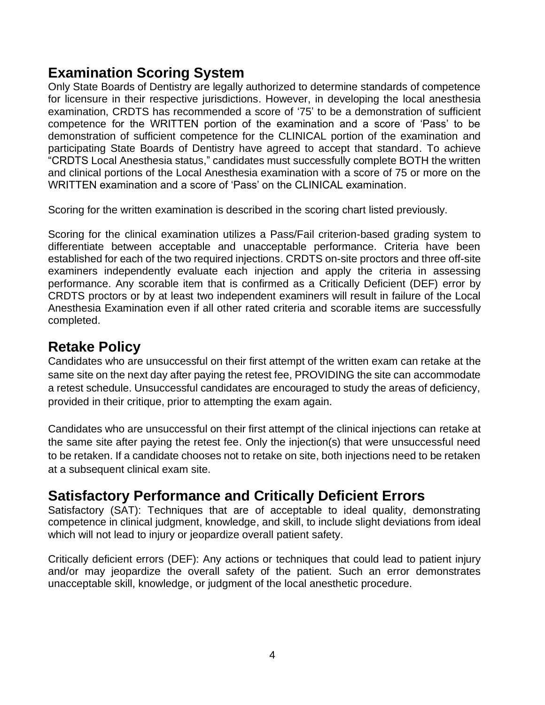## **Examination Scoring System**

Only State Boards of Dentistry are legally authorized to determine standards of competence for licensure in their respective jurisdictions. However, in developing the local anesthesia examination, CRDTS has recommended a score of '75' to be a demonstration of sufficient competence for the WRITTEN portion of the examination and a score of 'Pass' to be demonstration of sufficient competence for the CLINICAL portion of the examination and participating State Boards of Dentistry have agreed to accept that standard. To achieve "CRDTS Local Anesthesia status," candidates must successfully complete BOTH the written and clinical portions of the Local Anesthesia examination with a score of 75 or more on the WRITTEN examination and a score of 'Pass' on the CLINICAL examination.

Scoring for the written examination is described in the scoring chart listed previously.

Scoring for the clinical examination utilizes a Pass/Fail criterion-based grading system to differentiate between acceptable and unacceptable performance. Criteria have been established for each of the two required injections. CRDTS on-site proctors and three off-site examiners independently evaluate each injection and apply the criteria in assessing performance. Any scorable item that is confirmed as a Critically Deficient (DEF) error by CRDTS proctors or by at least two independent examiners will result in failure of the Local Anesthesia Examination even if all other rated criteria and scorable items are successfully completed.

#### **Retake Policy**

Candidates who are unsuccessful on their first attempt of the written exam can retake at the same site on the next day after paying the retest fee, PROVIDING the site can accommodate a retest schedule. Unsuccessful candidates are encouraged to study the areas of deficiency, provided in their critique, prior to attempting the exam again.

Candidates who are unsuccessful on their first attempt of the clinical injections can retake at the same site after paying the retest fee. Only the injection(s) that were unsuccessful need to be retaken. If a candidate chooses not to retake on site, both injections need to be retaken at a subsequent clinical exam site.

## **Satisfactory Performance and Critically Deficient Errors**

Satisfactory (SAT): Techniques that are of acceptable to ideal quality, demonstrating competence in clinical judgment, knowledge, and skill, to include slight deviations from ideal which will not lead to injury or jeopardize overall patient safety.

Critically deficient errors (DEF): Any actions or techniques that could lead to patient injury and/or may jeopardize the overall safety of the patient. Such an error demonstrates unacceptable skill, knowledge, or judgment of the local anesthetic procedure.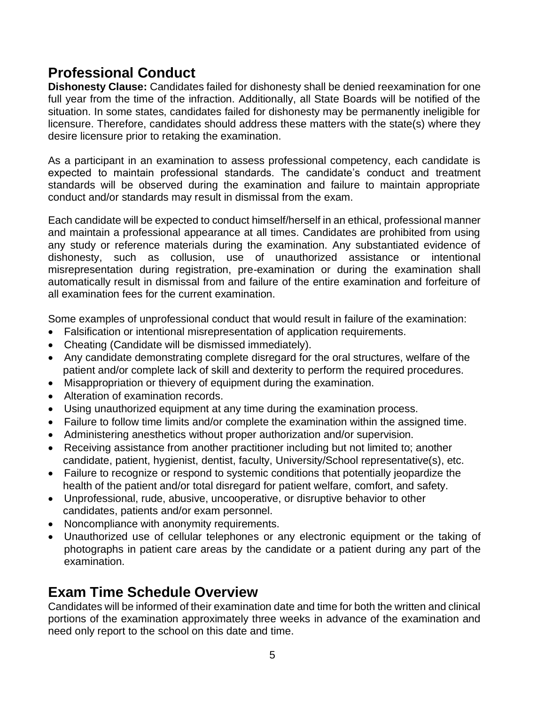## **Professional Conduct**

**Dishonesty Clause:** Candidates failed for dishonesty shall be denied reexamination for one full year from the time of the infraction. Additionally, all State Boards will be notified of the situation. In some states, candidates failed for dishonesty may be permanently ineligible for licensure. Therefore, candidates should address these matters with the state(s) where they desire licensure prior to retaking the examination.

As a participant in an examination to assess professional competency, each candidate is expected to maintain professional standards. The candidate's conduct and treatment standards will be observed during the examination and failure to maintain appropriate conduct and/or standards may result in dismissal from the exam.

Each candidate will be expected to conduct himself/herself in an ethical, professional manner and maintain a professional appearance at all times. Candidates are prohibited from using any study or reference materials during the examination. Any substantiated evidence of dishonesty, such as collusion, use of unauthorized assistance or intentional misrepresentation during registration, pre-examination or during the examination shall automatically result in dismissal from and failure of the entire examination and forfeiture of all examination fees for the current examination.

Some examples of unprofessional conduct that would result in failure of the examination:

- Falsification or intentional misrepresentation of application requirements.
- Cheating (Candidate will be dismissed immediately).
- Any candidate demonstrating complete disregard for the oral structures, welfare of the patient and/or complete lack of skill and dexterity to perform the required procedures.
- Misappropriation or thievery of equipment during the examination.
- Alteration of examination records.
- Using unauthorized equipment at any time during the examination process.
- Failure to follow time limits and/or complete the examination within the assigned time.
- Administering anesthetics without proper authorization and/or supervision.
- Receiving assistance from another practitioner including but not limited to; another candidate, patient, hygienist, dentist, faculty, University/School representative(s), etc.
- Failure to recognize or respond to systemic conditions that potentially jeopardize the health of the patient and/or total disregard for patient welfare, comfort, and safety.
- Unprofessional, rude, abusive, uncooperative, or disruptive behavior to other candidates, patients and/or exam personnel.
- Noncompliance with anonymity requirements.
- Unauthorized use of cellular telephones or any electronic equipment or the taking of photographs in patient care areas by the candidate or a patient during any part of the examination.

## **Exam Time Schedule Overview**

Candidates will be informed of their examination date and time for both the written and clinical portions of the examination approximately three weeks in advance of the examination and need only report to the school on this date and time.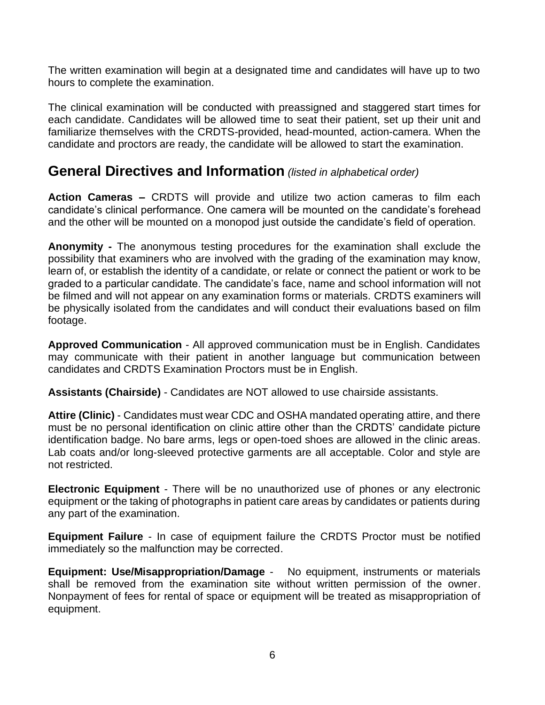The written examination will begin at a designated time and candidates will have up to two hours to complete the examination.

The clinical examination will be conducted with preassigned and staggered start times for each candidate. Candidates will be allowed time to seat their patient, set up their unit and familiarize themselves with the CRDTS-provided, head-mounted, action-camera. When the candidate and proctors are ready, the candidate will be allowed to start the examination.

#### **General Directives and Information** *(listed in alphabetical order)*

**Action Cameras –** CRDTS will provide and utilize two action cameras to film each candidate's clinical performance. One camera will be mounted on the candidate's forehead and the other will be mounted on a monopod just outside the candidate's field of operation.

**Anonymity -** The anonymous testing procedures for the examination shall exclude the possibility that examiners who are involved with the grading of the examination may know, learn of, or establish the identity of a candidate, or relate or connect the patient or work to be graded to a particular candidate. The candidate's face, name and school information will not be filmed and will not appear on any examination forms or materials. CRDTS examiners will be physically isolated from the candidates and will conduct their evaluations based on film footage.

**Approved Communication** - All approved communication must be in English. Candidates may communicate with their patient in another language but communication between candidates and CRDTS Examination Proctors must be in English.

**Assistants (Chairside)** - Candidates are NOT allowed to use chairside assistants.

**Attire (Clinic)** - Candidates must wear CDC and OSHA mandated operating attire, and there must be no personal identification on clinic attire other than the CRDTS' candidate picture identification badge. No bare arms, legs or open-toed shoes are allowed in the clinic areas. Lab coats and/or long-sleeved protective garments are all acceptable. Color and style are not restricted.

**Electronic Equipment** - There will be no unauthorized use of phones or any electronic equipment or the taking of photographs in patient care areas by candidates or patients during any part of the examination.

**Equipment Failure** - In case of equipment failure the CRDTS Proctor must be notified immediately so the malfunction may be corrected.

**Equipment: Use/Misappropriation/Damage** -No equipment, instruments or materials shall be removed from the examination site without written permission of the owner. Nonpayment of fees for rental of space or equipment will be treated as misappropriation of equipment.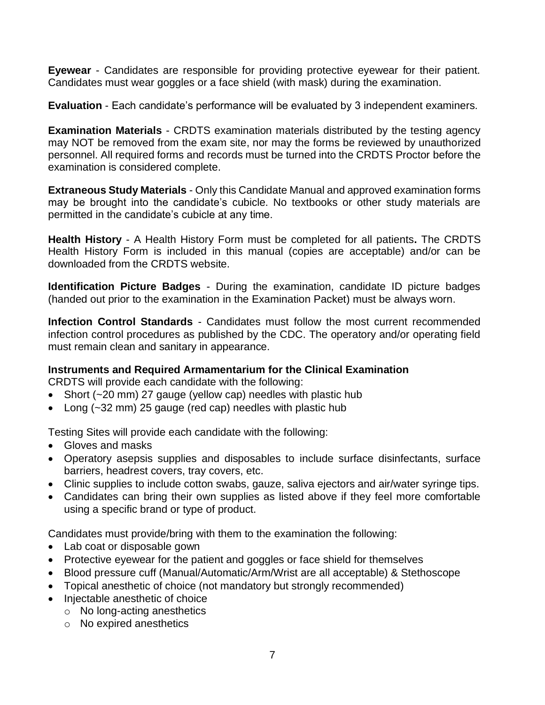**Eyewear** - Candidates are responsible for providing protective eyewear for their patient. Candidates must wear goggles or a face shield (with mask) during the examination.

**Evaluation** - Each candidate's performance will be evaluated by 3 independent examiners.

**Examination Materials** - CRDTS examination materials distributed by the testing agency may NOT be removed from the exam site, nor may the forms be reviewed by unauthorized personnel. All required forms and records must be turned into the CRDTS Proctor before the examination is considered complete.

**Extraneous Study Materials** - Only this Candidate Manual and approved examination forms may be brought into the candidate's cubicle. No textbooks or other study materials are permitted in the candidate's cubicle at any time.

**Health History** - A Health History Form must be completed for all patients**.** The CRDTS Health History Form is included in this manual (copies are acceptable) and/or can be downloaded from the CRDTS website.

**Identification Picture Badges** - During the examination, candidate ID picture badges (handed out prior to the examination in the Examination Packet) must be always worn.

**Infection Control Standards** - Candidates must follow the most current recommended infection control procedures as published by the CDC. The operatory and/or operating field must remain clean and sanitary in appearance.

#### **Instruments and Required Armamentarium for the Clinical Examination**

CRDTS will provide each candidate with the following:

- Short (~20 mm) 27 gauge (yellow cap) needles with plastic hub
- Long  $(-32 \text{ mm})$  25 gauge (red cap) needles with plastic hub

Testing Sites will provide each candidate with the following:

- Gloves and masks
- Operatory asepsis supplies and disposables to include surface disinfectants, surface barriers, headrest covers, tray covers, etc.
- Clinic supplies to include cotton swabs, gauze, saliva ejectors and air/water syringe tips.
- Candidates can bring their own supplies as listed above if they feel more comfortable using a specific brand or type of product.

Candidates must provide/bring with them to the examination the following:

- Lab coat or disposable gown
- Protective eyewear for the patient and goggles or face shield for themselves
- Blood pressure cuff (Manual/Automatic/Arm/Wrist are all acceptable) & Stethoscope
- Topical anesthetic of choice (not mandatory but strongly recommended)
- Injectable anesthetic of choice
	- o No long-acting anesthetics
	- o No expired anesthetics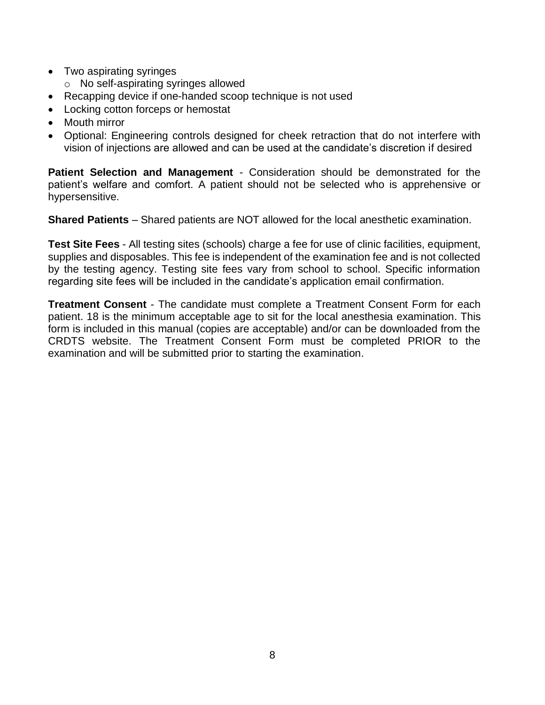- Two aspirating syringes
	- o No self-aspirating syringes allowed
- Recapping device if one-handed scoop technique is not used
- Locking cotton forceps or hemostat
- Mouth mirror
- Optional: Engineering controls designed for cheek retraction that do not interfere with vision of injections are allowed and can be used at the candidate's discretion if desired

**Patient Selection and Management - Consideration should be demonstrated for the** patient's welfare and comfort. A patient should not be selected who is apprehensive or hypersensitive.

**Shared Patients** – Shared patients are NOT allowed for the local anesthetic examination.

**Test Site Fees** - All testing sites (schools) charge a fee for use of clinic facilities, equipment, supplies and disposables. This fee is independent of the examination fee and is not collected by the testing agency. Testing site fees vary from school to school. Specific information regarding site fees will be included in the candidate's application email confirmation.

**Treatment Consent** - The candidate must complete a Treatment Consent Form for each patient. 18 is the minimum acceptable age to sit for the local anesthesia examination. This form is included in this manual (copies are acceptable) and/or can be downloaded from the CRDTS website. The Treatment Consent Form must be completed PRIOR to the examination and will be submitted prior to starting the examination.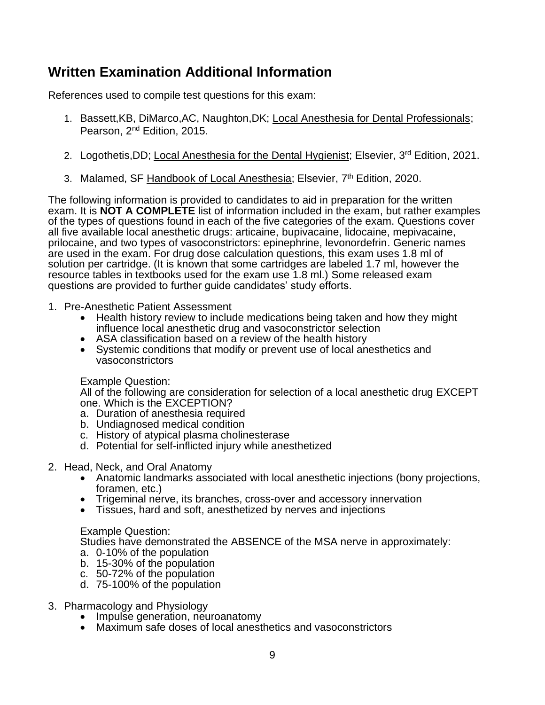## **Written Examination Additional Information**

References used to compile test questions for this exam:

- 1. Bassett,KB, DiMarco,AC, Naughton,DK; Local Anesthesia for Dental Professionals; Pearson, 2nd Edition, 2015.
- 2. Logothetis, DD; Local Anesthesia for the Dental Hygienist; Elsevier, 3<sup>rd</sup> Edition, 2021.
- 3. Malamed, SF Handbook of Local Anesthesia; Elsevier, 7<sup>th</sup> Edition, 2020.

The following information is provided to candidates to aid in preparation for the written exam. It is **NOT A COMPLETE** list of information included in the exam, but rather examples of the types of questions found in each of the five categories of the exam. Questions cover all five available local anesthetic drugs: articaine, bupivacaine, lidocaine, mepivacaine, prilocaine, and two types of vasoconstrictors: epinephrine, levonordefrin. Generic names are used in the exam. For drug dose calculation questions, this exam uses 1.8 ml of solution per cartridge. (It is known that some cartridges are labeled 1.7 ml, however the resource tables in textbooks used for the exam use 1.8 ml.) Some released exam questions are provided to further guide candidates' study efforts.

- 1. Pre-Anesthetic Patient Assessment
	- Health history review to include medications being taken and how they might influence local anesthetic drug and vasoconstrictor selection
	- ASA classification based on a review of the health history
	- Systemic conditions that modify or prevent use of local anesthetics and vasoconstrictors

Example Question:

All of the following are consideration for selection of a local anesthetic drug EXCEPT one. Which is the EXCEPTION?

- a. Duration of anesthesia required
- b. Undiagnosed medical condition
- c. History of atypical plasma cholinesterase
- d. Potential for self-inflicted injury while anesthetized
- 2. Head, Neck, and Oral Anatomy
	- Anatomic landmarks associated with local anesthetic injections (bony projections, foramen, etc.)
	- Trigeminal nerve, its branches, cross-over and accessory innervation
	- Tissues, hard and soft, anesthetized by nerves and injections

#### Example Question:

Studies have demonstrated the ABSENCE of the MSA nerve in approximately:

- a. 0-10% of the population
- b. 15-30% of the population
- c. 50-72% of the population
- d. 75-100% of the population
- 3. Pharmacology and Physiology
	- Impulse generation, neuroanatomy
	- Maximum safe doses of local anesthetics and vasoconstrictors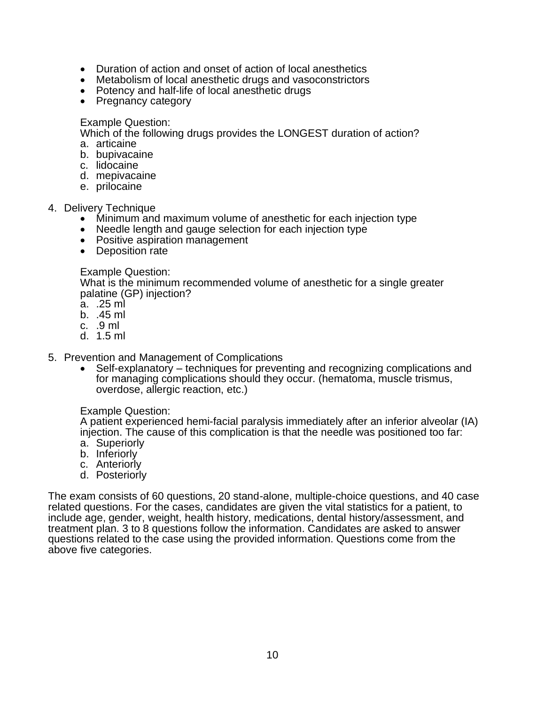- Duration of action and onset of action of local anesthetics
- Metabolism of local anesthetic drugs and vasoconstrictors
- Potency and half-life of local anesthetic drugs
- Pregnancy category

Example Question:

Which of the following drugs provides the LONGEST duration of action? a. articaine

- b. bupivacaine
- c. lidocaine
- d. mepivacaine
- e. prilocaine
- 4. Delivery Technique
	- Minimum and maximum volume of anesthetic for each injection type
	- Needle length and gauge selection for each injection type
	- Positive aspiration management
	- Deposition rate

#### Example Question:

What is the minimum recommended volume of anesthetic for a single greater palatine (GP) injection?

- a. .25 ml
- b. .45 ml
- c. .9 ml
- d. 1.5 ml
- 5. Prevention and Management of Complications
	- Self-explanatory techniques for preventing and recognizing complications and for managing complications should they occur. (hematoma, muscle trismus, overdose, allergic reaction, etc.)

#### Example Question:

A patient experienced hemi-facial paralysis immediately after an inferior alveolar (IA) injection. The cause of this complication is that the needle was positioned too far:

- a. Superiorly
- b. Inferiorly
- c. Anteriorly
- d. Posteriorly

The exam consists of 60 questions, 20 stand-alone, multiple-choice questions, and 40 case related questions. For the cases, candidates are given the vital statistics for a patient, to include age, gender, weight, health history, medications, dental history/assessment, and treatment plan. 3 to 8 questions follow the information. Candidates are asked to answer questions related to the case using the provided information. Questions come from the above five categories.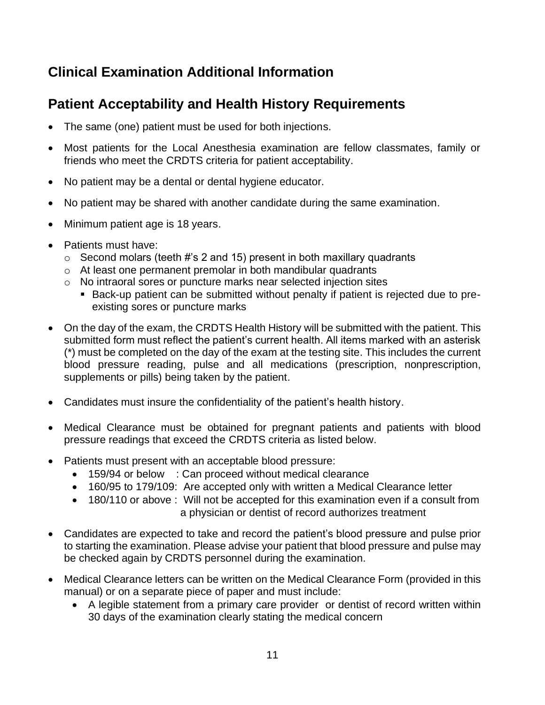## **Clinical Examination Additional Information**

## **Patient Acceptability and Health History Requirements**

- The same (one) patient must be used for both injections.
- Most patients for the Local Anesthesia examination are fellow classmates, family or friends who meet the CRDTS criteria for patient acceptability.
- No patient may be a dental or dental hygiene educator.
- No patient may be shared with another candidate during the same examination.
- Minimum patient age is 18 years.
- Patients must have:
	- $\circ$  Second molars (teeth #'s 2 and 15) present in both maxillary quadrants
	- o At least one permanent premolar in both mandibular quadrants
	- o No intraoral sores or puncture marks near selected injection sites
		- Back-up patient can be submitted without penalty if patient is rejected due to preexisting sores or puncture marks
- On the day of the exam, the CRDTS Health History will be submitted with the patient. This submitted form must reflect the patient's current health. All items marked with an asterisk (\*) must be completed on the day of the exam at the testing site. This includes the current blood pressure reading, pulse and all medications (prescription, nonprescription, supplements or pills) being taken by the patient.
- Candidates must insure the confidentiality of the patient's health history.
- Medical Clearance must be obtained for pregnant patients and patients with blood pressure readings that exceed the CRDTS criteria as listed below.
- Patients must present with an acceptable blood pressure:
	- 159/94 or below : Can proceed without medical clearance
	- 160/95 to 179/109: Are accepted only with written a Medical Clearance letter
	- 180/110 or above : Will not be accepted for this examination even if a consult from a physician or dentist of record authorizes treatment
- Candidates are expected to take and record the patient's blood pressure and pulse prior to starting the examination. Please advise your patient that blood pressure and pulse may be checked again by CRDTS personnel during the examination.
- Medical Clearance letters can be written on the Medical Clearance Form (provided in this manual) or on a separate piece of paper and must include:
	- A legible statement from a primary care provider or dentist of record written within 30 days of the examination clearly stating the medical concern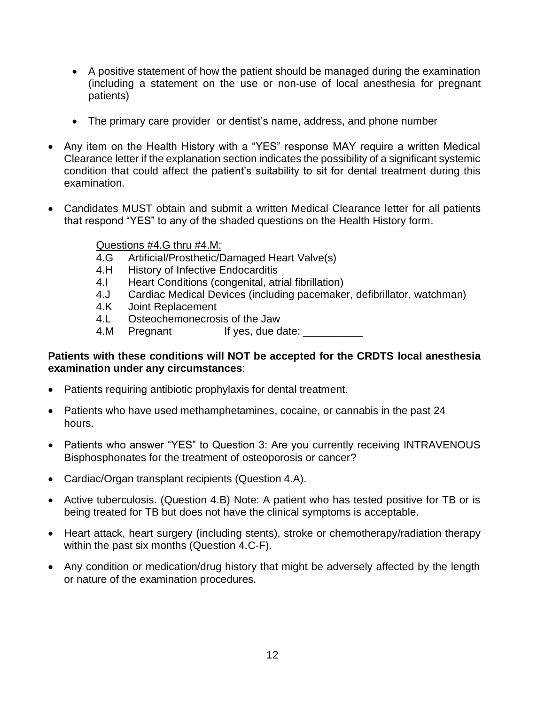- A positive statement of how the patient should be managed during the examination (including a statement on the use or non-use of local anesthesia for pregnant patients)
- The primary care provider or dentist's name, address, and phone number
- Any item on the Health History with a "YES" response MAY require a written Medical Clearance letter if the explanation section indicates the possibility of a significant systemic condition that could affect the patient's suitability to sit for dental treatment during this examination.
- Candidates MUST obtain and submit a written Medical Clearance letter for all patients that respond "YES" to any of the shaded questions on the Health History form.

Questions #4.G thru #4.M:

- 4.G Artificial/Prosthetic/Damaged Heart Valve(s)
- 4.H History of Infective Endocarditis
- 4.I Heart Conditions (congenital, atrial fibrillation)
- 4.J Cardiac Medical Devices (including pacemaker, defibrillator, watchman)
- 4.K Joint Replacement
- 4.L Osteochemonecrosis of the Jaw
- 4.M Pregnant If yes, due date:

#### **Patients with these conditions will NOT be accepted for the CRDTS local anesthesia examination under any circumstances**:

- Patients requiring antibiotic prophylaxis for dental treatment.
- Patients who have used methamphetamines, cocaine, or cannabis in the past 24 hours.
- Patients who answer "YES" to Question 3: Are you currently receiving INTRAVENOUS Bisphosphonates for the treatment of osteoporosis or cancer?
- Cardiac/Organ transplant recipients (Question 4.A).
- Active tuberculosis. (Question 4.B) Note: A patient who has tested positive for TB or is being treated for TB but does not have the clinical symptoms is acceptable.
- Heart attack, heart surgery (including stents), stroke or chemotherapy/radiation therapy within the past six months (Question 4.C-F).
- Any condition or medication/drug history that might be adversely affected by the length or nature of the examination procedures.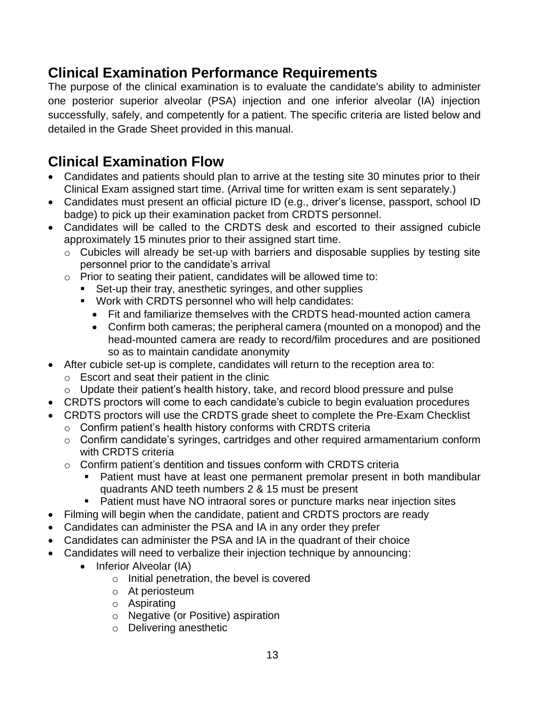## **Clinical Examination Performance Requirements**

The purpose of the clinical examination is to evaluate the candidate's ability to administer one posterior superior alveolar (PSA) injection and one inferior alveolar (IA) injection successfully, safely, and competently for a patient. The specific criteria are listed below and detailed in the Grade Sheet provided in this manual.

## **Clinical Examination Flow**

- Candidates and patients should plan to arrive at the testing site 30 minutes prior to their Clinical Exam assigned start time. (Arrival time for written exam is sent separately.)
- Candidates must present an official picture ID (e.g., driver's license, passport, school ID badge) to pick up their examination packet from CRDTS personnel.
- Candidates will be called to the CRDTS desk and escorted to their assigned cubicle approximately 15 minutes prior to their assigned start time.
	- o Cubicles will already be set-up with barriers and disposable supplies by testing site personnel prior to the candidate's arrival
	- o Prior to seating their patient, candidates will be allowed time to:
		- Set-up their tray, anesthetic syringes, and other supplies
			- Work with CRDTS personnel who will help candidates:
				- Fit and familiarize themselves with the CRDTS head-mounted action camera
				- Confirm both cameras; the peripheral camera (mounted on a monopod) and the head-mounted camera are ready to record/film procedures and are positioned so as to maintain candidate anonymity
- After cubicle set-up is complete, candidates will return to the reception area to:
	- o Escort and seat their patient in the clinic
	- $\circ$  Update their patient's health history, take, and record blood pressure and pulse
- CRDTS proctors will come to each candidate's cubicle to begin evaluation procedures
- CRDTS proctors will use the CRDTS grade sheet to complete the Pre-Exam Checklist
	- o Confirm patient's health history conforms with CRDTS criteria
	- o Confirm candidate's syringes, cartridges and other required armamentarium conform with CRDTS criteria
	- o Confirm patient's dentition and tissues conform with CRDTS criteria
		- Patient must have at least one permanent premolar present in both mandibular quadrants AND teeth numbers 2 & 15 must be present
		- Patient must have NO intraoral sores or puncture marks near injection sites
- Filming will begin when the candidate, patient and CRDTS proctors are ready
- Candidates can administer the PSA and IA in any order they prefer
- Candidates can administer the PSA and IA in the quadrant of their choice
- Candidates will need to verbalize their injection technique by announcing:
	- Inferior Alveolar (IA)
		- o Initial penetration, the bevel is covered
		- o At periosteum
		- o Aspirating
		- o Negative (or Positive) aspiration
		- o Delivering anesthetic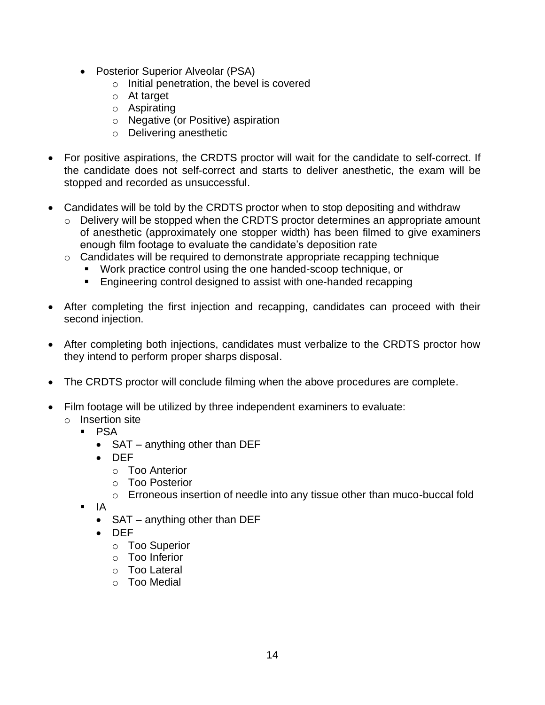- Posterior Superior Alveolar (PSA)
	- o Initial penetration, the bevel is covered
	- o At target
	- o Aspirating
	- o Negative (or Positive) aspiration
	- o Delivering anesthetic
- For positive aspirations, the CRDTS proctor will wait for the candidate to self-correct. If the candidate does not self-correct and starts to deliver anesthetic, the exam will be stopped and recorded as unsuccessful.
- Candidates will be told by the CRDTS proctor when to stop depositing and withdraw
	- o Delivery will be stopped when the CRDTS proctor determines an appropriate amount of anesthetic (approximately one stopper width) has been filmed to give examiners enough film footage to evaluate the candidate's deposition rate
	- o Candidates will be required to demonstrate appropriate recapping technique
		- Work practice control using the one handed-scoop technique, or
		- Engineering control designed to assist with one-handed recapping
- After completing the first injection and recapping, candidates can proceed with their second injection.
- After completing both injections, candidates must verbalize to the CRDTS proctor how they intend to perform proper sharps disposal.
- The CRDTS proctor will conclude filming when the above procedures are complete.
- Film footage will be utilized by three independent examiners to evaluate:
	- o Insertion site
		- PSA
			- SAT anything other than DEF
			- DEF
				- o Too Anterior
				- o Too Posterior
				- o Erroneous insertion of needle into any tissue other than muco-buccal fold
		- $\blacksquare$  IA
			- SAT anything other than DEF
			- DEF
				- o Too Superior
				- o Too Inferior
				- o Too Lateral
				- o Too Medial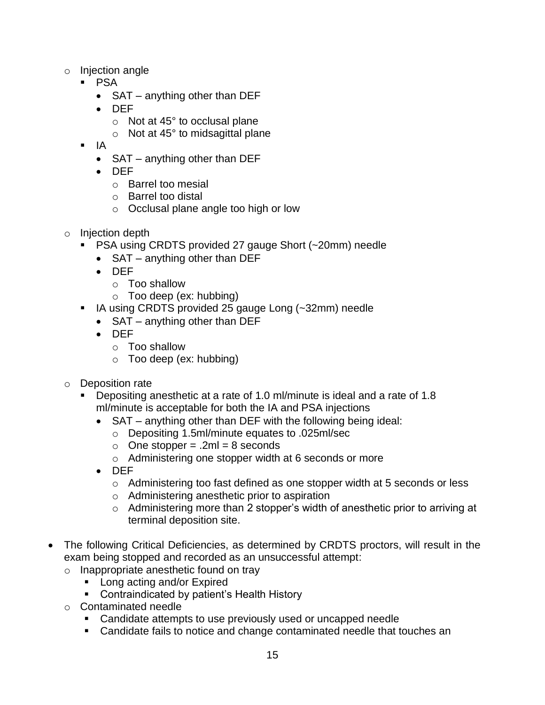- o Injection angle
	- PSA
		- SAT anything other than DEF
		- DEF
			- $\circ$  Not at 45 $\degree$  to occlusal plane
			- $\circ$  Not at 45 $\degree$  to midsagittal plane
		- IA
			- SAT anything other than DEF
			- DEF
				- o Barrel too mesial
				- o Barrel too distal
				- o Occlusal plane angle too high or low
- o Injection depth
	- PSA using CRDTS provided 27 gauge Short (~20mm) needle
		- SAT anything other than DEF
		- DEF
			- o Too shallow
			- $\circ$  Too deep (ex: hubbing)
	- IA using CRDTS provided 25 gauge Long (~32mm) needle
		- SAT anything other than DEF
		- DEF
			- o Too shallow
			- o Too deep (ex: hubbing)
- o Deposition rate
	- Depositing anesthetic at a rate of 1.0 ml/minute is ideal and a rate of 1.8 ml/minute is acceptable for both the IA and PSA injections
		- SAT anything other than DEF with the following being ideal:
			- o Depositing 1.5ml/minute equates to .025ml/sec
			- $\circ$  One stopper = .2ml = 8 seconds
			- o Administering one stopper width at 6 seconds or more
		- DEF
			- $\circ$  Administering too fast defined as one stopper width at 5 seconds or less
			- o Administering anesthetic prior to aspiration
			- o Administering more than 2 stopper's width of anesthetic prior to arriving at terminal deposition site.
- The following Critical Deficiencies, as determined by CRDTS proctors, will result in the exam being stopped and recorded as an unsuccessful attempt:
	- o Inappropriate anesthetic found on tray
		- Long acting and/or Expired
		- Contraindicated by patient's Health History
	- o Contaminated needle
		- Candidate attempts to use previously used or uncapped needle
		- Candidate fails to notice and change contaminated needle that touches an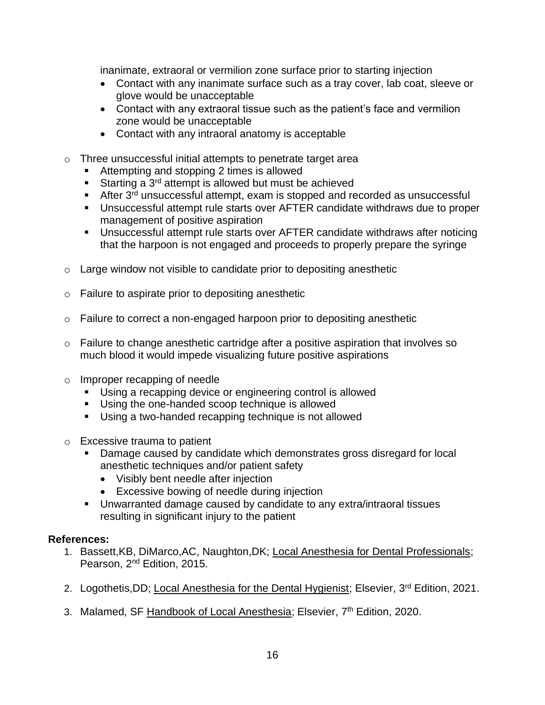inanimate, extraoral or vermilion zone surface prior to starting injection

- Contact with any inanimate surface such as a tray cover, lab coat, sleeve or glove would be unacceptable
- Contact with any extraoral tissue such as the patient's face and vermilion zone would be unacceptable
- Contact with any intraoral anatomy is acceptable
- o Three unsuccessful initial attempts to penetrate target area
	- Attempting and stopping 2 times is allowed
	- **EXECUTE:** Starting a 3<sup>rd</sup> attempt is allowed but must be achieved
	- After  $3^{rd}$  unsuccessful attempt, exam is stopped and recorded as unsuccessful
	- Unsuccessful attempt rule starts over AFTER candidate withdraws due to proper management of positive aspiration
	- Unsuccessful attempt rule starts over AFTER candidate withdraws after noticing that the harpoon is not engaged and proceeds to properly prepare the syringe
- $\circ$  Large window not visible to candidate prior to depositing anesthetic
- o Failure to aspirate prior to depositing anesthetic
- o Failure to correct a non-engaged harpoon prior to depositing anesthetic
- o Failure to change anesthetic cartridge after a positive aspiration that involves so much blood it would impede visualizing future positive aspirations
- o Improper recapping of needle
	- Using a recapping device or engineering control is allowed
	- Using the one-handed scoop technique is allowed
	- Using a two-handed recapping technique is not allowed
- o Excessive trauma to patient
	- Damage caused by candidate which demonstrates gross disregard for local anesthetic techniques and/or patient safety
		- Visibly bent needle after injection
		- Excessive bowing of needle during injection
	- Unwarranted damage caused by candidate to any extra/intraoral tissues resulting in significant injury to the patient

#### **References:**

- 1. Bassett,KB, DiMarco,AC, Naughton,DK; Local Anesthesia for Dental Professionals; Pearson, 2nd Edition, 2015.
- 2. Logothetis, DD; Local Anesthesia for the Dental Hygienist; Elsevier, 3<sup>rd</sup> Edition, 2021.
- 3. Malamed, SF Handbook of Local Anesthesia; Elsevier, 7<sup>th</sup> Edition, 2020.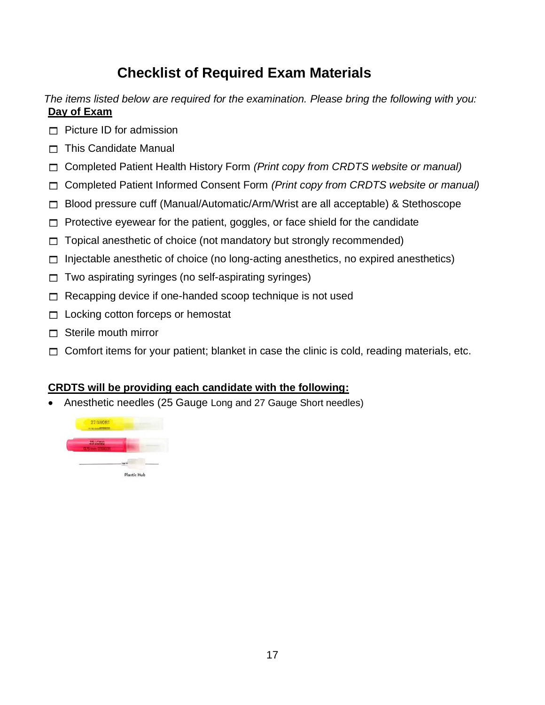## **Checklist of Required Exam Materials**

*The items listed below are required for the examination. Please bring the following with you:* **Day of Exam**

- $\Box$  Picture ID for admission
- $\Box$  This Candidate Manual
- Completed Patient Health History Form *(Print copy from CRDTS website or manual)*
- Completed Patient Informed Consent Form *(Print copy from CRDTS website or manual)*
- □ Blood pressure cuff (Manual/Automatic/Arm/Wrist are all acceptable) & Stethoscope
- $\Box$  Protective eyewear for the patient, goggles, or face shield for the candidate
- $\Box$  Topical anesthetic of choice (not mandatory but strongly recommended)
- $\Box$  Injectable anesthetic of choice (no long-acting anesthetics, no expired anesthetics)
- $\Box$  Two aspirating syringes (no self-aspirating syringes)
- $\Box$  Recapping device if one-handed scoop technique is not used
- $\Box$  Locking cotton forceps or hemostat
- $\Box$  Sterile mouth mirror
- $\Box$  Comfort items for your patient; blanket in case the clinic is cold, reading materials, etc.

#### **CRDTS will be providing each candidate with the following:**

• Anesthetic needles (25 Gauge Long and 27 Gauge Short needles)

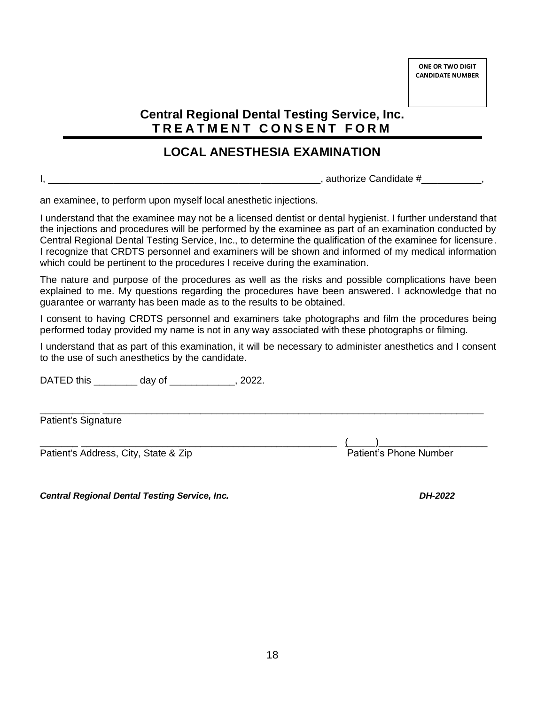#### **Central Regional Dental Testing Service, Inc. T R E A T M E N T C O N S E N T F O R M**

#### **LOCAL ANESTHESIA EXAMINATION**

I, \_\_\_\_\_\_\_\_\_\_\_\_\_\_\_\_\_\_\_\_\_\_\_\_\_\_\_\_\_\_\_\_\_\_\_\_\_\_\_\_\_\_\_\_\_\_\_\_\_\_, authorize Candidate #\_\_\_\_\_\_\_\_\_\_\_,

an examinee, to perform upon myself local anesthetic injections.

I understand that the examinee may not be a licensed dentist or dental hygienist. I further understand that the injections and procedures will be performed by the examinee as part of an examination conducted by Central Regional Dental Testing Service, Inc., to determine the qualification of the examinee for licensure. I recognize that CRDTS personnel and examiners will be shown and informed of my medical information which could be pertinent to the procedures I receive during the examination.

The nature and purpose of the procedures as well as the risks and possible complications have been explained to me. My questions regarding the procedures have been answered. I acknowledge that no guarantee or warranty has been made as to the results to be obtained.

I consent to having CRDTS personnel and examiners take photographs and film the procedures being performed today provided my name is not in any way associated with these photographs or filming.

I understand that as part of this examination, it will be necessary to administer anesthetics and I consent to the use of such anesthetics by the candidate.

\_\_\_\_\_\_\_\_\_\_\_ \_\_\_\_\_\_\_\_\_\_\_\_\_\_\_\_\_\_\_\_\_\_\_\_\_\_\_\_\_\_\_\_\_\_\_\_\_\_\_\_\_\_\_\_\_\_\_\_\_\_\_\_\_\_\_\_\_\_\_\_\_\_\_\_\_\_\_\_\_\_

DATED this \_\_\_\_\_\_\_\_ day of \_\_\_\_\_\_\_\_\_\_\_\_, 2022.

Patient's Signature

Patient's Address, City, State & Zip

 $\frac{(\underline{\hspace{1cm}})}{\underline{\hspace{1cm}}{\text{Pattern's Phone Number}}}}$ 

*Central Regional Dental Testing Service, Inc. DH-2022*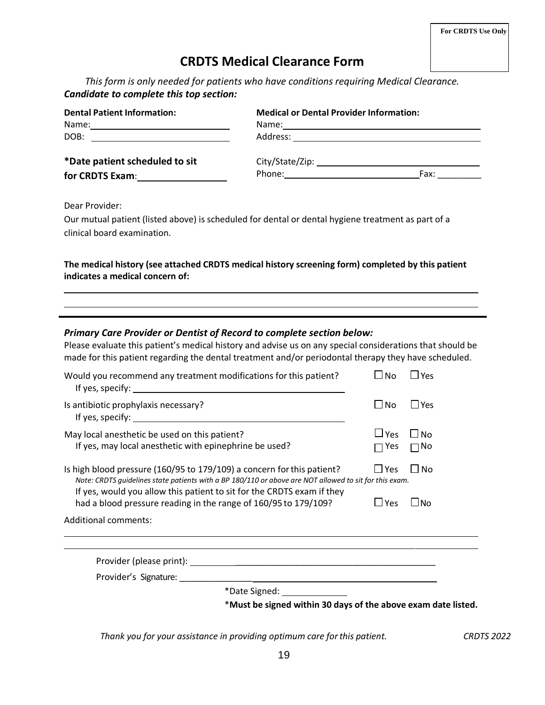#### **CRDTS Medical Clearance Form**

*This form is only needed for patients who have conditions requiring Medical Clearance. Candidate to complete this top section:*

| <b>Dental Patient Information:</b> | <b>Medical or Dental Provider Information:</b>                                                                                                                                                                                 |      |
|------------------------------------|--------------------------------------------------------------------------------------------------------------------------------------------------------------------------------------------------------------------------------|------|
|                                    |                                                                                                                                                                                                                                |      |
| DOB:                               |                                                                                                                                                                                                                                |      |
| *Date patient scheduled to sit     | City/State/Zip: 1997/1997/1997/2012                                                                                                                                                                                            |      |
| for CRDTS Exam:                    | Phone: the contract of the contract of the contract of the contract of the contract of the contract of the contract of the contract of the contract of the contract of the contract of the contract of the contract of the con | Fax: |

Dear Provider:

Our mutual patient (listed above) is scheduled for dental or dental hygiene treatment as part of a clinical board examination.

#### **The medical history (see attached CRDTS medical history screening form) completed by this patient indicates a medical concern of:**

#### *Primary Care Provider or Dentist of Record to complete section below:*

Please evaluate this patient's medical history and advise us on any special considerations that should be made for this patient regarding the dental treatment and/or periodontal therapy they have scheduled.

| Would you recommend any treatment modifications for this patient?                                                                                                                                                                                          | ⊿ No                         | ΙΥρς                   |
|------------------------------------------------------------------------------------------------------------------------------------------------------------------------------------------------------------------------------------------------------------|------------------------------|------------------------|
| Is antibiotic prophylaxis necessary?                                                                                                                                                                                                                       | $\Box$ No                    | l lyes                 |
| May local anesthetic be used on this patient?<br>If yes, may local anesthetic with epinephrine be used?                                                                                                                                                    | $\sqcup$ Yes<br>$\sqcap$ Yes | $\Box$ No<br>$\Box$ No |
| Is high blood pressure (160/95 to 179/109) a concern for this patient?<br>Note: CRDTS guidelines state patients with a BP 180/110 or above are NOT allowed to sit for this exam.<br>If yes, would you allow this patient to sit for the CRDTS exam if they | $\Box$ Yes                   | $\Box$ No              |
| had a blood pressure reading in the range of 160/95 to 179/109?                                                                                                                                                                                            | $\Box$ Yes                   | ∟No                    |
| <b>Additional comments:</b>                                                                                                                                                                                                                                |                              |                        |
|                                                                                                                                                                                                                                                            |                              |                        |
|                                                                                                                                                                                                                                                            |                              |                        |
| *Date Signed: _______________                                                                                                                                                                                                                              |                              |                        |
| *Must be signed within 30 days of the above exam date listed.                                                                                                                                                                                              |                              |                        |

*Thank you for your assistance in providing optimum care forthis patient. CRDTS 2022*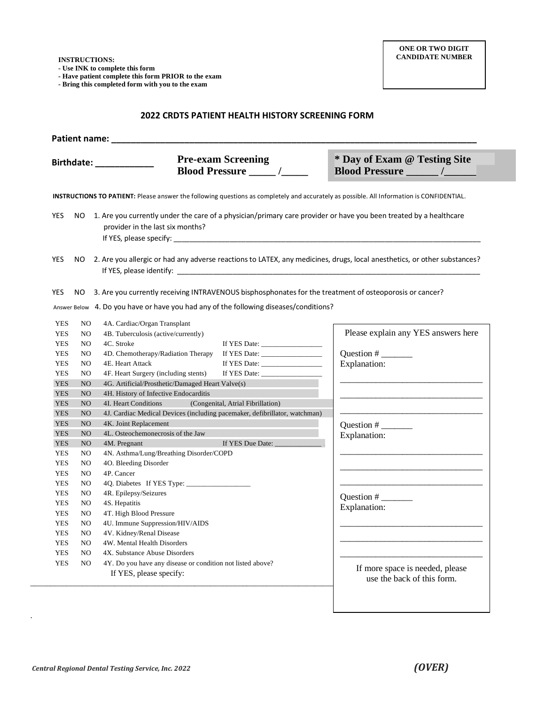**- Use INK to complete this form**

**- Have patient complete this form PRIOR to the exam**

**- Bring this completed form with you to the exam**

#### **2022 CRDTS PATIENT HEALTH HISTORY SCREENING FORM**

|            |                | <b>Pre-exam Screening</b><br>Birthdate: National Assembly                                                                                                                                                                                                                                                                                                                               | * Day of Exam @ Testing Site<br>Blood Pressure _______ /______ |
|------------|----------------|-----------------------------------------------------------------------------------------------------------------------------------------------------------------------------------------------------------------------------------------------------------------------------------------------------------------------------------------------------------------------------------------|----------------------------------------------------------------|
|            |                | INSTRUCTIONS TO PATIENT: Please answer the following questions as completely and accurately as possible. All Information is CONFIDENTIAL.                                                                                                                                                                                                                                               |                                                                |
| <b>YES</b> | NO.            | 1. Are you currently under the care of a physician/primary care provider or have you been treated by a healthcare<br>provider in the last six months?<br>If YES, please specify: the control of the control of the control of the control of the control of the control of the control of the control of the control of the control of the control of the control of the control of the |                                                                |
| <b>YES</b> |                | NO 2. Are you allergic or had any adverse reactions to LATEX, any medicines, drugs, local anesthetics, or other substances?                                                                                                                                                                                                                                                             |                                                                |
| <b>YES</b> | NO.            | 3. Are you currently receiving INTRAVENOUS bisphosphonates for the treatment of osteoporosis or cancer?                                                                                                                                                                                                                                                                                 |                                                                |
|            |                | Answer Below 4. Do you have or have you had any of the following diseases/conditions?                                                                                                                                                                                                                                                                                                   |                                                                |
| <b>YES</b> | N <sub>O</sub> | 4A. Cardiac/Organ Transplant                                                                                                                                                                                                                                                                                                                                                            |                                                                |
| <b>YES</b> | NO.            | 4B. Tuberculosis (active/currently)                                                                                                                                                                                                                                                                                                                                                     | Please explain any YES answers here                            |
| <b>YES</b> | NO.            | 4C. Stroke                                                                                                                                                                                                                                                                                                                                                                              |                                                                |
| <b>YES</b> | N <sub>O</sub> | 4D. Chemotherapy/Radiation Therapy<br>If YES Date:                                                                                                                                                                                                                                                                                                                                      | Question # $\_\_$                                              |
| <b>YES</b> | N <sub>O</sub> | 4E. Heart Attack                                                                                                                                                                                                                                                                                                                                                                        | Explanation:                                                   |
| <b>YES</b> | N <sub>O</sub> | 4F. Heart Surgery (including stents)<br>If YES Date: $\frac{1}{2}$                                                                                                                                                                                                                                                                                                                      |                                                                |
| <b>YES</b> | N <sub>O</sub> | 4G. Artificial/Prosthetic/Damaged Heart Valve(s)                                                                                                                                                                                                                                                                                                                                        |                                                                |
| <b>YES</b> | N <sub>O</sub> | 4H. History of Infective Endocarditis                                                                                                                                                                                                                                                                                                                                                   |                                                                |
| <b>YES</b> | NO             | (Congenital, Atrial Fibrillation)<br>4I. Heart Conditions                                                                                                                                                                                                                                                                                                                               |                                                                |
| <b>YES</b> | N <sub>O</sub> | 4J. Cardiac Medical Devices (including pacemaker, defibrillator, watchman)                                                                                                                                                                                                                                                                                                              |                                                                |
| <b>YES</b> | N <sub>O</sub> | 4K. Joint Replacement                                                                                                                                                                                                                                                                                                                                                                   | Question # $\frac{1}{\sqrt{2}}$                                |
| <b>YES</b> | NO             | 4L. Osteochemonecrosis of the Jaw                                                                                                                                                                                                                                                                                                                                                       | Explanation:                                                   |
| <b>YES</b> | N <sub>O</sub> | If YES Due Date:<br>4M. Pregnant                                                                                                                                                                                                                                                                                                                                                        |                                                                |
| <b>YES</b> | N <sub>O</sub> | 4N. Asthma/Lung/Breathing Disorder/COPD                                                                                                                                                                                                                                                                                                                                                 |                                                                |
| <b>YES</b> | N <sub>O</sub> | 4O. Bleeding Disorder                                                                                                                                                                                                                                                                                                                                                                   |                                                                |
| <b>YES</b> | N <sub>O</sub> | 4P. Cancer                                                                                                                                                                                                                                                                                                                                                                              |                                                                |
| <b>YES</b> | NO.            |                                                                                                                                                                                                                                                                                                                                                                                         |                                                                |
| <b>YES</b> | NO.            | 4R. Epilepsy/Seizures                                                                                                                                                                                                                                                                                                                                                                   | Question # $\_\_\_\_\_\_\_\_\_\_\_$                            |
| <b>YES</b> | N <sub>O</sub> | 4S. Hepatitis                                                                                                                                                                                                                                                                                                                                                                           | Explanation:                                                   |
| <b>YES</b> | N <sub>O</sub> | 4T. High Blood Pressure                                                                                                                                                                                                                                                                                                                                                                 |                                                                |
| <b>YES</b> | NO.            | 4U. Immune Suppression/HIV/AIDS                                                                                                                                                                                                                                                                                                                                                         |                                                                |
| <b>YES</b> | N <sub>O</sub> | 4V. Kidney/Renal Disease                                                                                                                                                                                                                                                                                                                                                                |                                                                |
| <b>YES</b> | N <sub>O</sub> | 4W. Mental Health Disorders                                                                                                                                                                                                                                                                                                                                                             |                                                                |
| <b>YES</b> | N <sub>O</sub> | 4X. Substance Abuse Disorders                                                                                                                                                                                                                                                                                                                                                           |                                                                |
| <b>YES</b> | N <sub>O</sub> | 4Y. Do you have any disease or condition not listed above?                                                                                                                                                                                                                                                                                                                              | If more space is needed, please                                |
|            |                | If YES, please specify:                                                                                                                                                                                                                                                                                                                                                                 |                                                                |

**condition that could adversely affect the patient's suitability to take part in the examination.**

.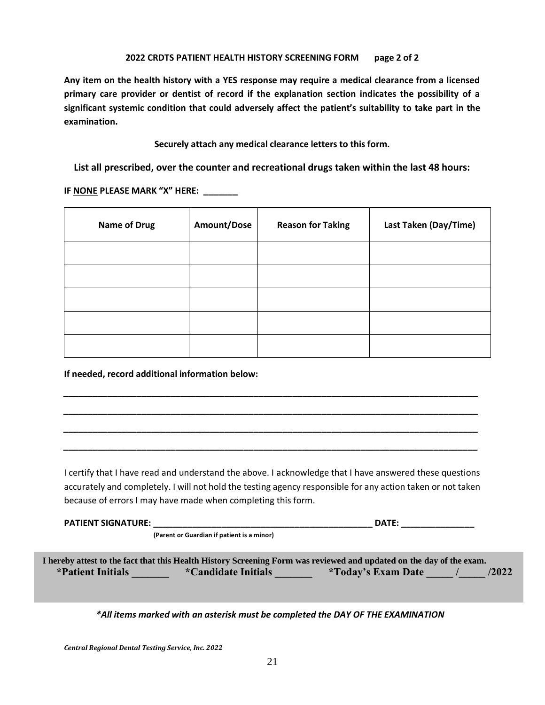#### **2022 CRDTS PATIENT HEALTH HISTORY SCREENING FORM page 2 of 2**

**Any item on the health history with a YES response may require a medical clearance from a licensed primary care provider or dentist of record if the explanation section indicates the possibility of a significant systemic condition that could adversely affect the patient's suitability to take part in the examination.**

**Securely attach any medical clearance letters to this form.**

**List all prescribed, over the counter and recreational drugs taken within the last 48 hours:**

**IF NONE PLEASE MARK "X" HERE: \_\_\_\_\_\_\_**

| <b>Name of Drug</b> | Amount/Dose | <b>Reason for Taking</b> | Last Taken (Day/Time) |
|---------------------|-------------|--------------------------|-----------------------|
|                     |             |                          |                       |
|                     |             |                          |                       |
|                     |             |                          |                       |
|                     |             |                          |                       |
|                     |             |                          |                       |

**If needed, record additional information below:** 

I certify that I have read and understand the above. I acknowledge that I have answered these questions accurately and completely. I will not hold the testing agency responsible for any action taken or not taken because of errors I may have made when completing this form.

*\_\_\_\_\_\_\_\_\_\_\_\_\_\_\_\_\_\_\_\_\_\_\_\_\_\_\_\_\_\_\_\_\_\_\_\_\_\_\_\_\_\_\_\_\_\_\_\_\_\_\_\_\_\_\_\_\_\_\_\_\_\_\_\_\_\_\_\_\_\_\_\_\_\_\_\_\_\_\_\_\_\_\_\_\_*

*\_\_\_\_\_\_\_\_\_\_\_\_\_\_\_\_\_\_\_\_\_\_\_\_\_\_\_\_\_\_\_\_\_\_\_\_\_\_\_\_\_\_\_\_\_\_\_\_\_\_\_\_\_\_\_\_\_\_\_\_\_\_\_\_\_\_\_\_\_\_\_\_\_\_\_\_\_\_\_\_\_\_\_\_\_*

*\_\_\_\_\_\_\_\_\_\_\_\_\_\_\_\_\_\_\_\_\_\_\_\_\_\_\_\_\_\_\_\_\_\_\_\_\_\_\_\_\_\_\_\_\_\_\_\_\_\_\_\_\_\_\_\_\_\_\_\_\_\_\_\_\_\_\_\_\_\_\_\_\_\_\_\_\_\_\_\_\_\_\_\_\_*

*\_\_\_\_\_\_\_\_\_\_\_\_\_\_\_\_\_\_\_\_\_\_\_\_\_\_\_\_\_\_\_\_\_\_\_\_\_\_\_\_\_\_\_\_\_\_\_\_\_\_\_\_\_\_\_\_\_\_\_\_\_\_\_\_\_\_\_\_\_\_\_\_\_\_\_\_\_\_\_\_\_\_\_\_\_*

| <b>PATIENT SIGNATURE:</b> |                                            | <b>DATE:</b>                                                                                                         |
|---------------------------|--------------------------------------------|----------------------------------------------------------------------------------------------------------------------|
|                           | (Parent or Guardian if patient is a minor) |                                                                                                                      |
|                           |                                            |                                                                                                                      |
|                           |                                            | I hereby attest to the fact that this Health History Screening Form was reviewed and updated on the day of the exam. |
| *Patient Initials         | <i>*Candidate Initials</i>                 | /2022<br><i>*Today's Exam Date</i>                                                                                   |
|                           |                                            |                                                                                                                      |

*\*All items marked with an asterisk must be completed the DAY OF THE EXAMINATION*

*Central Regional Dental Testing Service, Inc. 2022*